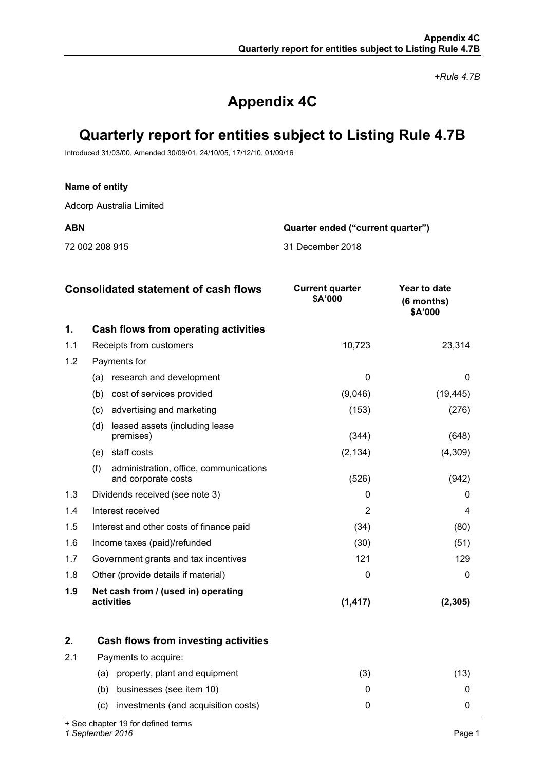*+Rule 4.7B*

# **Appendix 4C**

# **Quarterly report for entities subject to Listing Rule 4.7B**

Introduced 31/03/00, Amended 30/09/01, 24/10/05, 17/12/10, 01/09/16

## **Name of entity**

Adcorp Australia Limited

**ABN Quarter ended ("current quarter")**

72 002 208 915 31 December 2018

|     | <b>Consolidated statement of cash flows</b>                          | <b>Current quarter</b><br>\$A'000 | Year to date<br>$(6$ months)<br>\$A'000 |
|-----|----------------------------------------------------------------------|-----------------------------------|-----------------------------------------|
| 1.  | Cash flows from operating activities                                 |                                   |                                         |
| 1.1 | Receipts from customers                                              | 10,723                            | 23,314                                  |
| 1.2 | Payments for                                                         |                                   |                                         |
|     | research and development<br>(a)                                      | $\Omega$                          | 0                                       |
|     | cost of services provided<br>(b)                                     | (9,046)                           | (19, 445)                               |
|     | advertising and marketing<br>(c)                                     | (153)                             | (276)                                   |
|     | (d)<br>leased assets (including lease<br>premises)                   | (344)                             | (648)                                   |
|     | staff costs<br>(e)                                                   | (2, 134)                          | (4,309)                                 |
|     | (f)<br>administration, office, communications<br>and corporate costs | (526)                             | (942)                                   |
| 1.3 | Dividends received (see note 3)                                      | 0                                 | $\Omega$                                |
| 1.4 | Interest received                                                    | 2                                 | 4                                       |
| 1.5 | Interest and other costs of finance paid                             | (34)                              | (80)                                    |
| 1.6 | Income taxes (paid)/refunded                                         | (30)                              | (51)                                    |
| 1.7 | Government grants and tax incentives                                 | 121                               | 129                                     |
| 1.8 | Other (provide details if material)                                  | 0                                 | 0                                       |
| 1.9 | Net cash from / (used in) operating<br>activities                    | (1, 417)                          | (2, 305)                                |

|     | Cash flows from investing activities       |   |  |
|-----|--------------------------------------------|---|--|
| 2.1 | Payments to acquire:                       |   |  |
|     | property, plant and equipment<br>(a)       | 3 |  |
|     | businesses (see item 10)<br>(b)            |   |  |
|     | investments (and acquisition costs)<br>(C) |   |  |

+ See chapter 19 for defined terms

*1 September 2016* Page 1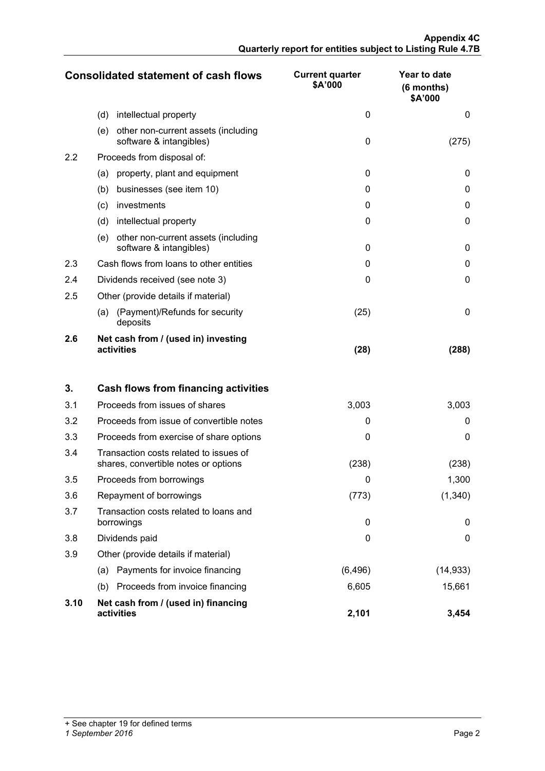|     | <b>Consolidated statement of cash flows</b>                           | <b>Current quarter</b><br>\$A'000 | Year to date<br>$(6$ months)<br>\$A'000 |
|-----|-----------------------------------------------------------------------|-----------------------------------|-----------------------------------------|
|     | (d)<br>intellectual property                                          | $\Omega$                          | $\Omega$                                |
|     | other non-current assets (including<br>(e)<br>software & intangibles) | 0                                 | (275)                                   |
| 2.2 | Proceeds from disposal of:                                            |                                   |                                         |
|     | property, plant and equipment<br>(a)                                  | $\Omega$                          | 0                                       |
|     | businesses (see item 10)<br>(b)                                       | $\Omega$                          | 0                                       |
|     | investments<br>(c)                                                    | 0                                 | 0                                       |
|     | (d)<br>intellectual property                                          | $\Omega$                          | 0                                       |
|     | other non-current assets (including<br>(e)<br>software & intangibles) | $\Omega$                          | 0                                       |
| 2.3 | Cash flows from loans to other entities                               | 0                                 | 0                                       |
| 2.4 | Dividends received (see note 3)                                       | $\Omega$                          | $\Omega$                                |
| 2.5 | Other (provide details if material)                                   |                                   |                                         |
|     | (Payment)/Refunds for security<br>(a)<br>deposits                     | (25)                              | 0                                       |
| 2.6 | Net cash from / (used in) investing<br>activities                     | (28)                              | (288)                                   |

| 3.   | Cash flows from financing activities                                           |          |           |
|------|--------------------------------------------------------------------------------|----------|-----------|
| 3.1  | Proceeds from issues of shares                                                 | 3,003    | 3,003     |
| 3.2  | Proceeds from issue of convertible notes                                       | $\Omega$ | $\Omega$  |
| 3.3  | Proceeds from exercise of share options                                        | 0        | 0         |
| 3.4  | Transaction costs related to issues of<br>shares, convertible notes or options | (238)    | (238)     |
| 3.5  | Proceeds from borrowings                                                       | 0        | 1,300     |
| 3.6  | Repayment of borrowings                                                        | (773)    | (1,340)   |
| 3.7  | Transaction costs related to loans and<br>borrowings                           | 0        | 0         |
| 3.8  | Dividends paid                                                                 | 0        | 0         |
| 3.9  | Other (provide details if material)                                            |          |           |
|      | Payments for invoice financing<br>(a)                                          | (6, 496) | (14, 933) |
|      | Proceeds from invoice financing<br>(b)                                         | 6,605    | 15,661    |
| 3.10 | Net cash from / (used in) financing<br>activities                              | 2,101    | 3,454     |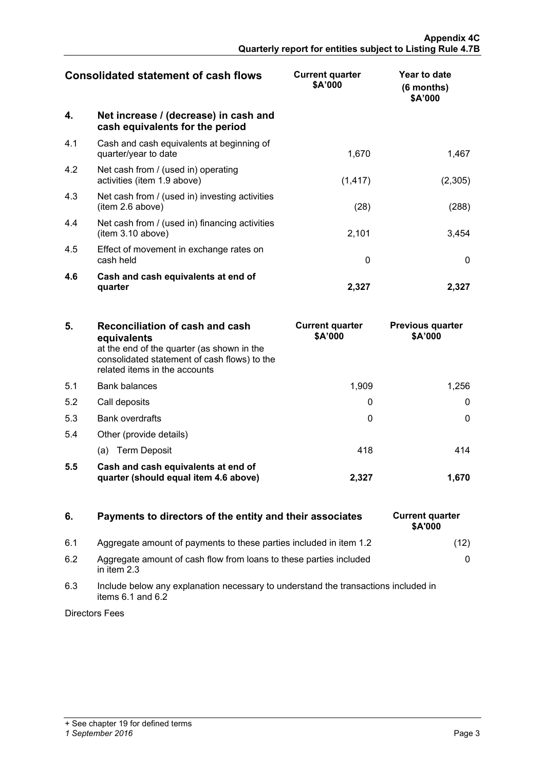| <b>Consolidated statement of cash flows</b> |                                                                          | <b>Current quarter</b><br>\$A'000 | Year to date<br>$(6$ months)<br>\$A'000 |
|---------------------------------------------|--------------------------------------------------------------------------|-----------------------------------|-----------------------------------------|
| 4.                                          | Net increase / (decrease) in cash and<br>cash equivalents for the period |                                   |                                         |
| 4.1                                         | Cash and cash equivalents at beginning of<br>quarter/year to date        | 1,670                             | 1,467                                   |
| 4.2                                         | Net cash from / (used in) operating<br>activities (item 1.9 above)       | (1, 417)                          | (2,305)                                 |
| 4.3                                         | Net cash from / (used in) investing activities<br>(item 2.6 above)       | (28)                              | (288)                                   |
| 4.4                                         | Net cash from / (used in) financing activities<br>(item 3.10 above)      | 2,101                             | 3,454                                   |
| 4.5                                         | Effect of movement in exchange rates on<br>cash held                     | $\Omega$                          | $\mathbf{0}$                            |
| 4.6                                         | Cash and cash equivalents at end of<br>quarter                           | 2,327                             | 2,327                                   |

| 5.  | Reconciliation of cash and cash<br>equivalents<br>at the end of the quarter (as shown in the<br>consolidated statement of cash flows) to the<br>related items in the accounts | <b>Current quarter</b><br>\$A'000 | <b>Previous quarter</b><br>\$A'000 |
|-----|-------------------------------------------------------------------------------------------------------------------------------------------------------------------------------|-----------------------------------|------------------------------------|
| 5.1 | <b>Bank balances</b>                                                                                                                                                          | 1.909                             | 1.256                              |
| 5.2 | Call deposits                                                                                                                                                                 |                                   |                                    |
| 5.3 | Bank overdrafts                                                                                                                                                               |                                   |                                    |
| 5.4 | Other (provide details)                                                                                                                                                       |                                   |                                    |
|     | (a) Term Deposit                                                                                                                                                              | 418                               |                                    |
| 5.5 | Cash and cash equivalents at end of<br>quarter (should equal item 4.6 above)                                                                                                  | 2.327                             |                                    |

# **6.** Payments to directors of the entity and their associates

- 6.1 Aggregate amount of payments to these parties included in item 1.2
- 6.2 Aggregate amount of cash flow from loans to these parties included in item 2.3
- 6.3 Include below any explanation necessary to understand the transactions included in items  $6.1$  and  $6.2$

Directors Fees

| <b>Current quarter</b><br>\$A'000 |      |
|-----------------------------------|------|
|                                   | (12) |
|                                   | O    |
|                                   |      |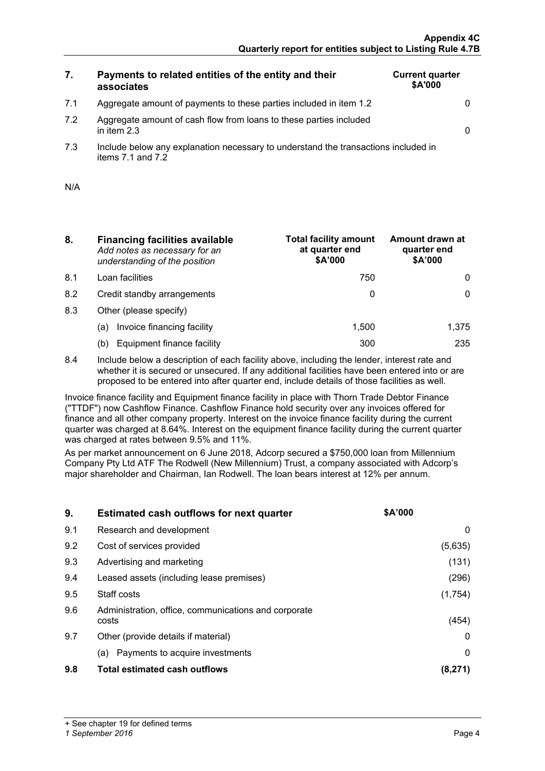**Current quarter \$A'000**

# **7. Payments to related entities of the entity and their associates**

| Aggregate amount of payments to these parties included in item 1.2 |  |
|--------------------------------------------------------------------|--|
|                                                                    |  |

- 7.2 Aggregate amount of cash flow from loans to these parties included in item 2.3 0
- 7.3 Include below any explanation necessary to understand the transactions included in items  $7.1$  and  $7.2$

| N/A |  |
|-----|--|
|     |  |

- **8. Financing facilities available** *Add notes as necessary for an understanding of the position*
- 
- 
- 8.3 Other (please specify)
	-
	-
- **Total facility amount at quarter end \$A'000 Amount drawn at quarter end \$A'000** 8.1 Loan facilities and the contract of the contract of the contract of the contract of the contract of the contract of the contract of the contract of the contract of the contract of the contract of the contract of the co 8.2 Credit standby arrangements and the control of the control of the control of the control of the control of the control of the control of the control of the control of the control of the control of the control of the co (a) Invoice financing facility  $\qquad \qquad$  1,500  $\qquad \qquad$  1,375 (b) Equipment finance facility  $\qquad \qquad$  300  $\qquad \qquad$  235
- 8.4 Include below a description of each facility above, including the lender, interest rate and whether it is secured or unsecured. If any additional facilities have been entered into or are proposed to be entered into after quarter end, include details of those facilities as well.

Invoice finance facility and Equipment finance facility in place with Thorn Trade Debtor Finance ("TTDF") now Cashflow Finance. Cashflow Finance hold security over any invoices offered for finance and all other company property. Interest on the invoice finance facility during the current quarter was charged at 8.64%. Interest on the equipment finance facility during the current quarter was charged at rates between 9.5% and 11%.

As per market announcement on 6 June 2018, Adcorp secured a \$750,000 loan from Millennium Company Pty Ltd ATF The Rodwell (New Millennium) Trust, a company associated with Adcorp's major shareholder and Chairman, Ian Rodwell. The loan bears interest at 12% per annum.

| 9.  | <b>Estimated cash outflows for next quarter</b>               | <b>SA'000</b> |
|-----|---------------------------------------------------------------|---------------|
| 9.1 | Research and development                                      | U             |
| 9.2 | Cost of services provided                                     | (5,635)       |
| 9.3 | Advertising and marketing                                     | (131)         |
| 9.4 | Leased assets (including lease premises)                      | (296)         |
| 9.5 | Staff costs                                                   | (1,754)       |
| 9.6 | Administration, office, communications and corporate<br>costs | (454          |
| 9.7 | Other (provide details if material)                           |               |
|     | Payments to acquire investments<br>(a)                        |               |
| 9.8 | Total estimated cash outflows                                 |               |